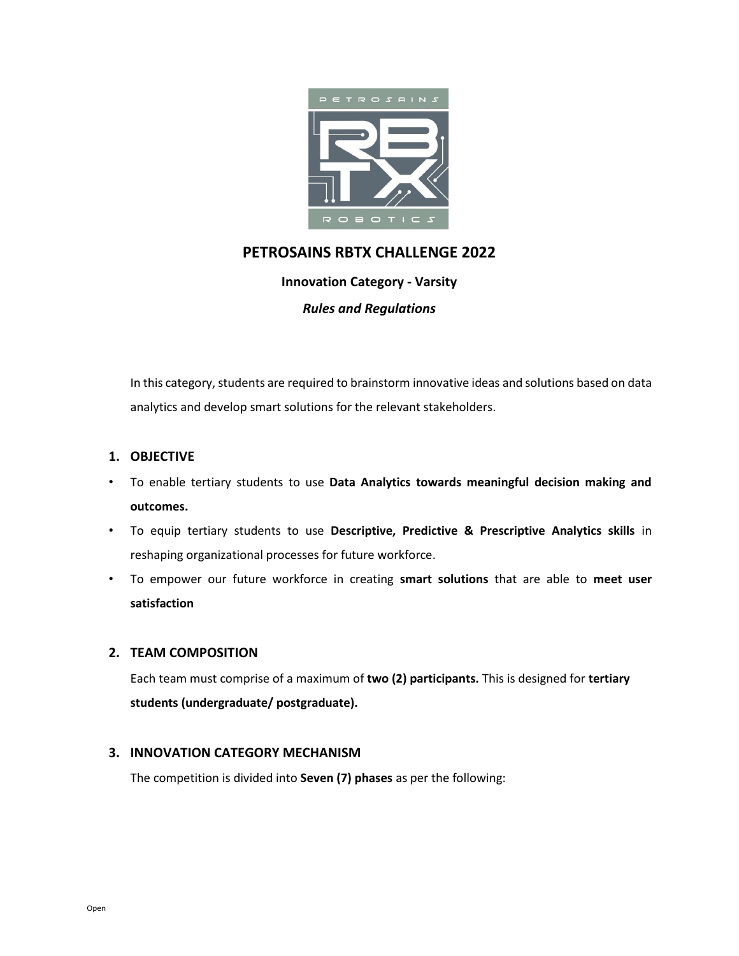

# **PETROSAINS RBTX CHALLENGE 2022**

**Innovation Category - Varsity**

*Rules and Regulations*

In this category, students are required to brainstorm innovative ideas and solutions based on data analytics and develop smart solutions for the relevant stakeholders.

# **1. OBJECTIVE**

- To enable tertiary students to use **Data Analytics towards meaningful decision making and outcomes.**
- To equip tertiary students to use **Descriptive, Predictive & Prescriptive Analytics skills** in reshaping organizational processes for future workforce.
- To empower our future workforce in creating **smart solutions** that are able to **meet user satisfaction**

# **2. TEAM COMPOSITION**

Each team must comprise of a maximum of **two (2) participants.** This is designed for **tertiary students (undergraduate/ postgraduate).**

# **3. INNOVATION CATEGORY MECHANISM**

The competition is divided into **Seven (7) phases** as per the following: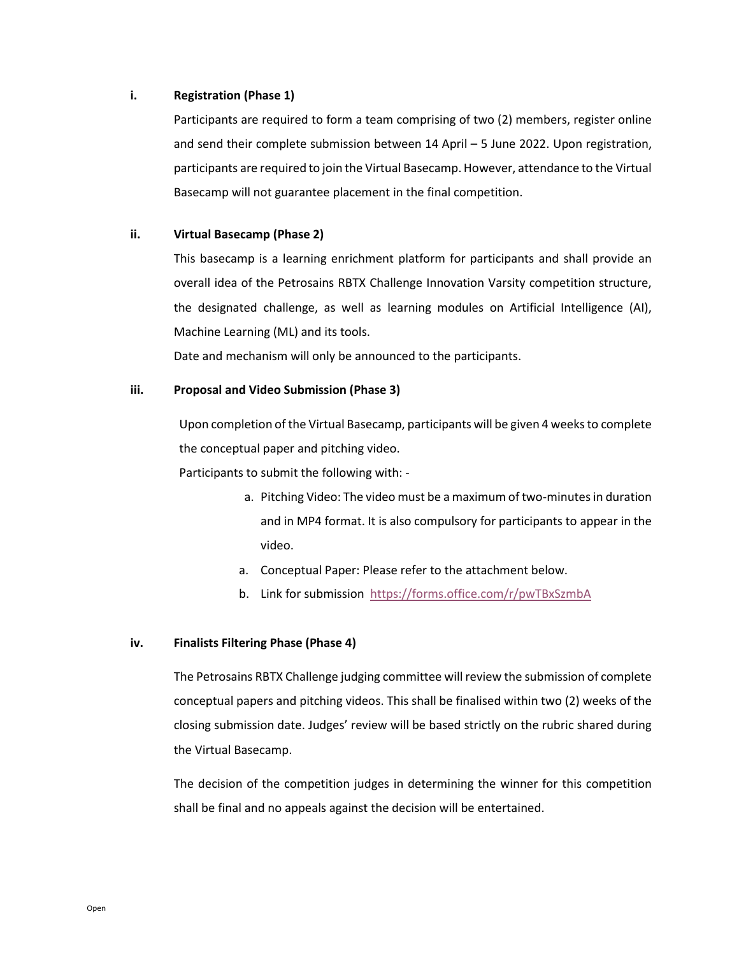#### **i. Registration (Phase 1)**

Participants are required to form a team comprising of two (2) members, register online and send their complete submission between 14 April – 5 June 2022. Upon registration, participants are required to join the Virtual Basecamp. However, attendance to the Virtual Basecamp will not guarantee placement in the final competition.

# **ii. Virtual Basecamp (Phase 2)**

This basecamp is a learning enrichment platform for participants and shall provide an overall idea of the Petrosains RBTX Challenge Innovation Varsity competition structure, the designated challenge, as well as learning modules on Artificial Intelligence (AI), Machine Learning (ML) and its tools.

Date and mechanism will only be announced to the participants.

# **iii. Proposal and Video Submission (Phase 3)**

Upon completion of the Virtual Basecamp, participants will be given 4 weeks to complete the conceptual paper and pitching video.

Participants to submit the following with: -

- a. Pitching Video: The video must be a maximum of two-minutes in duration and in MP4 format. It is also compulsory for participants to appear in the video.
- a. Conceptual Paper: Please refer to the attachment below.
- b. Link for submission<https://forms.office.com/r/pwTBxSzmbA>

# **iv. Finalists Filtering Phase (Phase 4)**

The Petrosains RBTX Challenge judging committee willreview the submission of complete conceptual papers and pitching videos. This shall be finalised within two (2) weeks of the closing submission date. Judges' review will be based strictly on the rubric shared during the Virtual Basecamp.

The decision of the competition judges in determining the winner for this competition shall be final and no appeals against the decision will be entertained.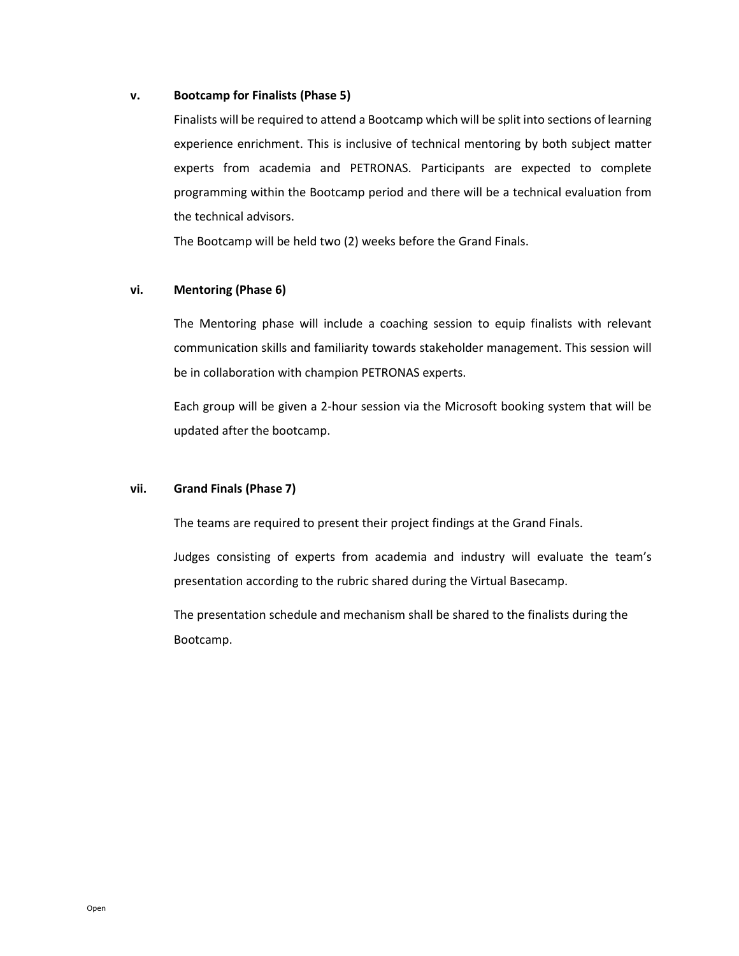#### **v. Bootcamp for Finalists (Phase 5)**

Finalists will be required to attend a Bootcamp which will be split into sections of learning experience enrichment. This is inclusive of technical mentoring by both subject matter experts from academia and PETRONAS. Participants are expected to complete programming within the Bootcamp period and there will be a technical evaluation from the technical advisors.

The Bootcamp will be held two (2) weeks before the Grand Finals.

#### **vi. Mentoring (Phase 6)**

The Mentoring phase will include a coaching session to equip finalists with relevant communication skills and familiarity towards stakeholder management. This session will be in collaboration with champion PETRONAS experts.

Each group will be given a 2-hour session via the Microsoft booking system that will be updated after the bootcamp.

#### **vii. Grand Finals (Phase 7)**

The teams are required to present their project findings at the Grand Finals.

Judges consisting of experts from academia and industry will evaluate the team's presentation according to the rubric shared during the Virtual Basecamp.

The presentation schedule and mechanism shall be shared to the finalists during the Bootcamp.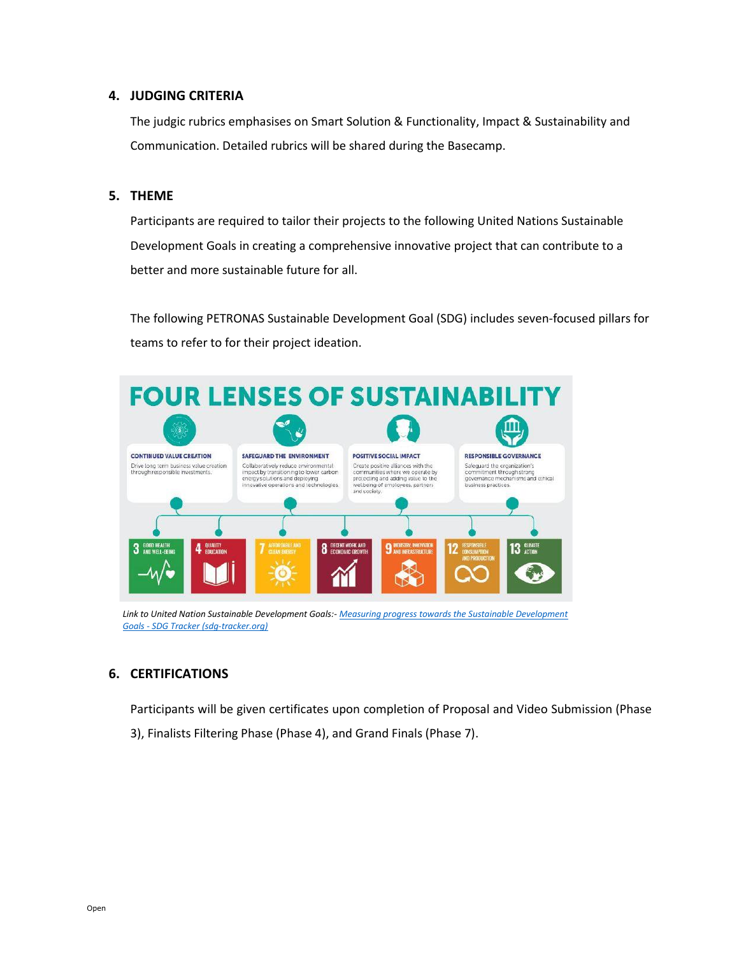# **4. JUDGING CRITERIA**

The judgic rubrics emphasises on Smart Solution & Functionality, Impact & Sustainability and Communication. Detailed rubrics will be shared during the Basecamp.

# **5. THEME**

Participants are required to tailor their projects to the following United Nations Sustainable Development Goals in creating a comprehensive innovative project that can contribute to a better and more sustainable future for all.

The following PETRONAS Sustainable Development Goal (SDG) includes seven-focused pillars for teams to refer to for their project ideation.



*Link to United Nation Sustainable Development Goals:- [Measuring progress towards the Sustainable Development](https://sdg-tracker.org/)  Goals - [SDG Tracker \(sdg-tracker.org\)](https://sdg-tracker.org/)*

# **6. CERTIFICATIONS**

Participants will be given certificates upon completion of Proposal and Video Submission (Phase

3), Finalists Filtering Phase (Phase 4), and Grand Finals (Phase 7).